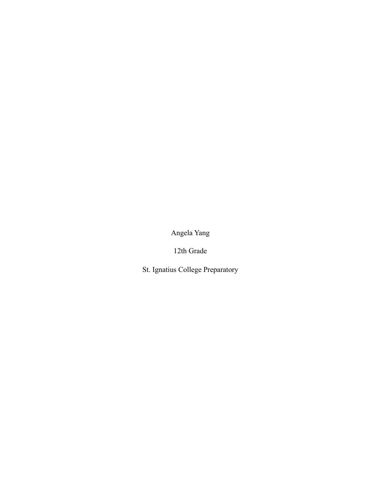Angela Yang

12th Grade

St. Ignatius College Preparatory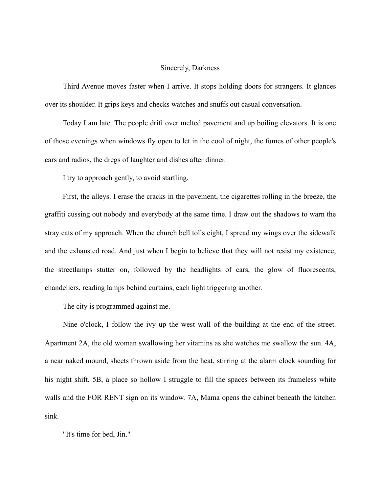## Sincerely, Darkness

Third Avenue moves faster when I arrive. It stops holding doors for strangers. It glances over its shoulder. It grips keys and checks watches and snuffs out casual conversation.

Today I am late. The people drift over melted pavement and up boiling elevators. It is one of those evenings when windows fly open to let in the cool of night, the fumes of other people's cars and radios, the dregs of laughter and dishes after dinner.

I try to approach gently, to avoid startling.

First, the alleys. I erase the cracks in the pavement, the cigarettes rolling in the breeze, the graffiti cussing out nobody and everybody at the same time. I draw out the shadows to warn the stray cats of my approach. When the church bell tolls eight, I spread my wings over the sidewalk and the exhausted road. And just when I begin to believe that they will not resist my existence, the streetlamps stutter on, followed by the headlights of cars, the glow of fluorescents, chandeliers, reading lamps behind curtains, each light triggering another.

The city is programmed against me.

Nine o'clock, I follow the ivy up the west wall of the building at the end of the street. Apartment 2A, the old woman swallowing her vitamins as she watches me swallow the sun. 4A, a near naked mound, sheets thrown aside from the heat, stirring at the alarm clock sounding for his night shift. 5B, a place so hollow I struggle to fill the spaces between its frameless white walls and the FOR RENT sign on its window. 7A, Mama opens the cabinet beneath the kitchen sink.

"It's time for bed, Jin."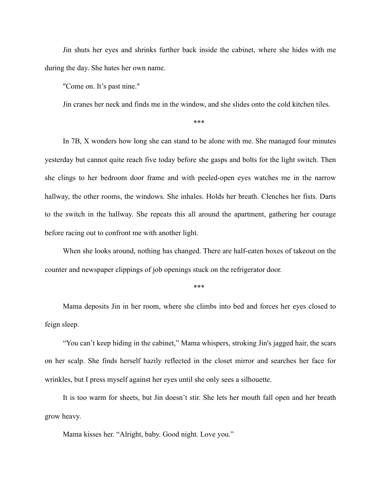Jin shuts her eyes and shrinks further back inside the cabinet, where she hides with me during the day. She hates her own name.

"Come on. It's past nine."

Jin cranes her neck and finds me in the window, and she slides onto the cold kitchen tiles.

\*\*\*

In 7B, X wonders how long she can stand to be alone with me. She managed four minutes yesterday but cannot quite reach five today before she gasps and bolts for the light switch. Then she clings to her bedroom door frame and with peeled-open eyes watches me in the narrow hallway, the other rooms, the windows. She inhales. Holds her breath. Clenches her fists. Darts to the switch in the hallway. She repeats this all around the apartment, gathering her courage before racing out to confront me with another light.

When she looks around, nothing has changed. There are half-eaten boxes of takeout on the counter and newspaper clippings of job openings stuck on the refrigerator door.

\*\*\*

Mama deposits Jin in her room, where she climbs into bed and forces her eyes closed to feign sleep.

"You can't keep hiding in the cabinet," Mama whispers, stroking Jin's jagged hair, the scars on her scalp. She finds herself hazily reflected in the closet mirror and searches her face for wrinkles, but I press myself against her eyes until she only sees a silhouette.

It is too warm for sheets, but Jin doesn't stir. She lets her mouth fall open and her breath grow heavy.

Mama kisses her. "Alright, baby. Good night. Love you."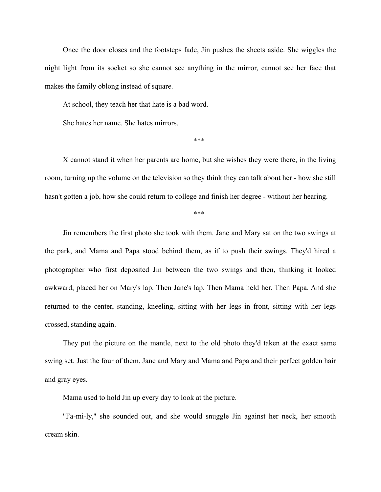Once the door closes and the footsteps fade, Jin pushes the sheets aside. She wiggles the night light from its socket so she cannot see anything in the mirror, cannot see her face that makes the family oblong instead of square.

At school, they teach her that hate is a bad word.

She hates her name. She hates mirrors.

\*\*\*

X cannot stand it when her parents are home, but she wishes they were there, in the living room, turning up the volume on the television so they think they can talk about her - how she still hasn't gotten a job, how she could return to college and finish her degree - without her hearing.

\*\*\*

Jin remembers the first photo she took with them. Jane and Mary sat on the two swings at the park, and Mama and Papa stood behind them, as if to push their swings. They'd hired a photographer who first deposited Jin between the two swings and then, thinking it looked awkward, placed her on Mary's lap. Then Jane's lap. Then Mama held her. Then Papa. And she returned to the center, standing, kneeling, sitting with her legs in front, sitting with her legs crossed, standing again.

They put the picture on the mantle, next to the old photo they'd taken at the exact same swing set. Just the four of them. Jane and Mary and Mama and Papa and their perfect golden hair and gray eyes.

Mama used to hold Jin up every day to look at the picture.

"Fa-mi-ly," she sounded out, and she would snuggle Jin against her neck, her smooth cream skin.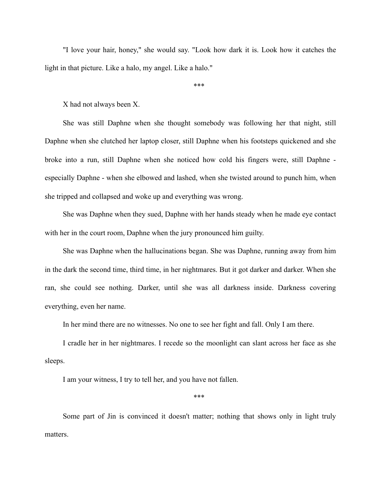"I love your hair, honey," she would say. "Look how dark it is. Look how it catches the light in that picture. Like a halo, my angel. Like a halo."

\*\*\*

X had not always been X.

She was still Daphne when she thought somebody was following her that night, still Daphne when she clutched her laptop closer, still Daphne when his footsteps quickened and she broke into a run, still Daphne when she noticed how cold his fingers were, still Daphne especially Daphne - when she elbowed and lashed, when she twisted around to punch him, when she tripped and collapsed and woke up and everything was wrong.

She was Daphne when they sued, Daphne with her hands steady when he made eye contact with her in the court room, Daphne when the jury pronounced him guilty.

She was Daphne when the hallucinations began. She was Daphne, running away from him in the dark the second time, third time, in her nightmares. But it got darker and darker. When she ran, she could see nothing. Darker, until she was all darkness inside. Darkness covering everything, even her name.

In her mind there are no witnesses. No one to see her fight and fall. Only I am there.

I cradle her in her nightmares. I recede so the moonlight can slant across her face as she sleeps.

I am your witness, I try to tell her, and you have not fallen.

\*\*\*

Some part of Jin is convinced it doesn't matter; nothing that shows only in light truly matters.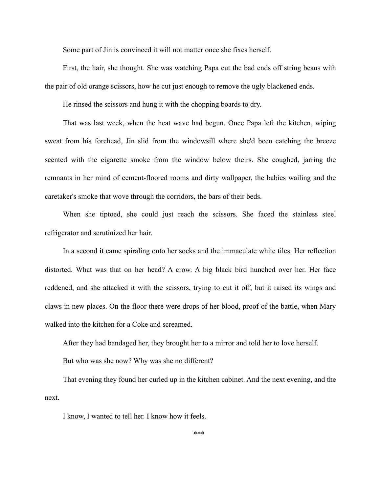Some part of Jin is convinced it will not matter once she fixes herself.

First, the hair, she thought. She was watching Papa cut the bad ends off string beans with the pair of old orange scissors, how he cut just enough to remove the ugly blackened ends.

He rinsed the scissors and hung it with the chopping boards to dry.

That was last week, when the heat wave had begun. Once Papa left the kitchen, wiping sweat from his forehead, Jin slid from the windowsill where she'd been catching the breeze scented with the cigarette smoke from the window below theirs. She coughed, jarring the remnants in her mind of cement-floored rooms and dirty wallpaper, the babies wailing and the caretaker's smoke that wove through the corridors, the bars of their beds.

When she tiptoed, she could just reach the scissors. She faced the stainless steel refrigerator and scrutinized her hair.

In a second it came spiraling onto her socks and the immaculate white tiles. Her reflection distorted. What was that on her head? A crow. A big black bird hunched over her. Her face reddened, and she attacked it with the scissors, trying to cut it off, but it raised its wings and claws in new places. On the floor there were drops of her blood, proof of the battle, when Mary walked into the kitchen for a Coke and screamed.

After they had bandaged her, they brought her to a mirror and told her to love herself.

But who was she now? Why was she no different?

That evening they found her curled up in the kitchen cabinet. And the next evening, and the next.

I know, I wanted to tell her. I know how it feels.